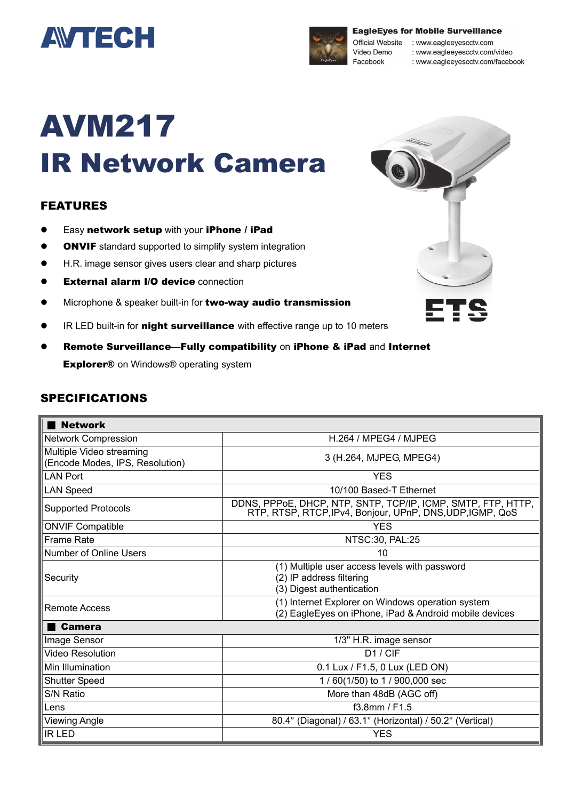



**EagleEyes for Mobile Surveillance** 

Official Website : www.eagleeyescctv.com : www.eagleeyescctv.com/video

: www.eagleeyescctv.com/facebook

# AVM217 IR Network Camera

## FEATURES

- **•** Easy network setup with your iPhone / iPad
- **ONVIF** standard supported to simplify system integration
- H.R. image sensor gives users clear and sharp pictures
- **•** External alarm I/O device connection
- **•** Microphone & speaker built-in for **two-way audio transmission**
- **IR LED built-in for night surveillance** with effective range up to 10 meters
- Remote Surveillance—Fully compatibility on iPhone & iPad and Internet **Explorer®** on Windows® operating system

#### SPECIFICATIONS

| <b>Network</b>                                              |                                                                                                                           |
|-------------------------------------------------------------|---------------------------------------------------------------------------------------------------------------------------|
| <b>Network Compression</b>                                  | H.264 / MPEG4 / MJPEG                                                                                                     |
| Multiple Video streaming<br>(Encode Modes, IPS, Resolution) | 3 (H.264, MJPEG, MPEG4)                                                                                                   |
| <b>LAN Port</b>                                             | <b>YES</b>                                                                                                                |
| <b>LAN Speed</b>                                            | 10/100 Based-T Ethernet                                                                                                   |
| <b>Supported Protocols</b>                                  | DDNS, PPPOE, DHCP, NTP, SNTP, TCP/IP, ICMP, SMTP, FTP, HTTP,<br>RTP, RTSP, RTCP, IPv4, Bonjour, UPnP, DNS, UDP, IGMP, QoS |
| <b>ONVIF Compatible</b>                                     | <b>YES</b>                                                                                                                |
| <b>Frame Rate</b>                                           | NTSC:30, PAL:25                                                                                                           |
| <b>Number of Online Users</b>                               | 10                                                                                                                        |
| Security                                                    | (1) Multiple user access levels with password<br>(2) IP address filtering<br>(3) Digest authentication                    |
| Remote Access                                               | (1) Internet Explorer on Windows operation system<br>(2) EagleEyes on iPhone, iPad & Android mobile devices               |
| Camera                                                      |                                                                                                                           |
| Image Sensor                                                | 1/3" H.R. image sensor                                                                                                    |
| <b>Video Resolution</b>                                     | D1 / CIF                                                                                                                  |
| Min Illumination                                            | 0.1 Lux / F1.5, 0 Lux (LED ON)                                                                                            |
| <b>Shutter Speed</b>                                        | 1/60(1/50) to 1/900,000 sec                                                                                               |
| S/N Ratio                                                   | More than 48dB (AGC off)                                                                                                  |
| Lens                                                        | $f3.8$ mm / F1.5                                                                                                          |
| <b>Viewing Angle</b>                                        | 80.4° (Diagonal) / 63.1° (Horizontal) / 50.2° (Vertical)                                                                  |
| <b>IR LED</b>                                               | <b>YES</b>                                                                                                                |